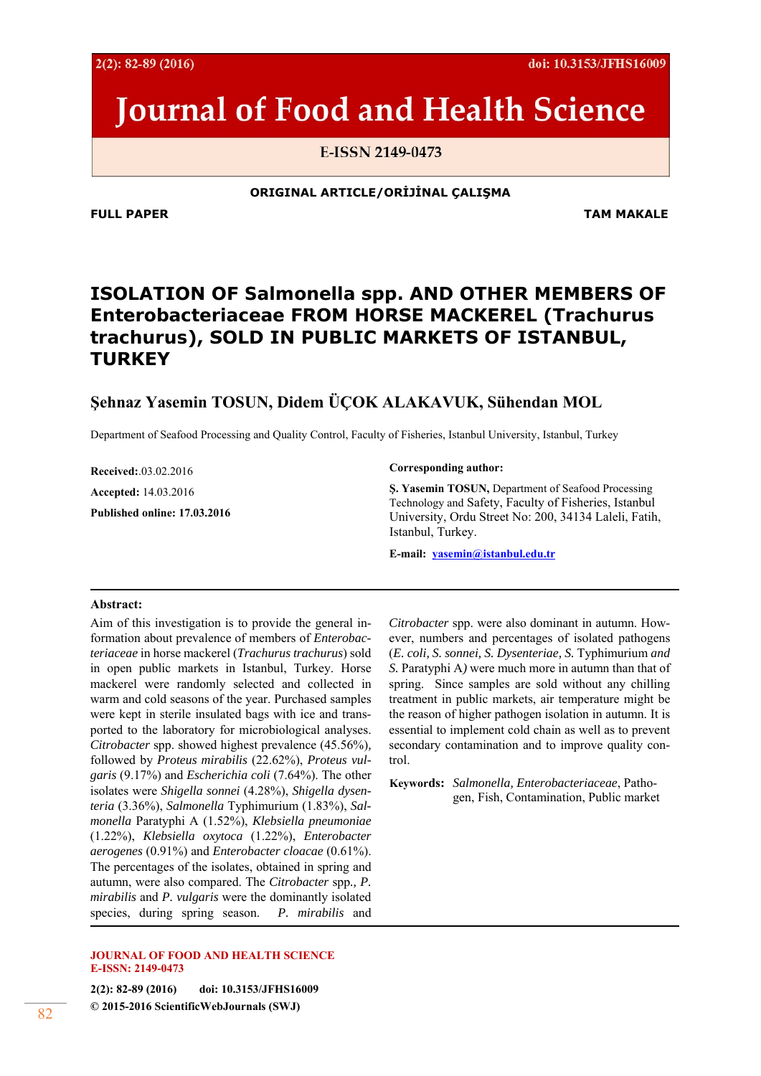doi: 10.3153/JFHS16009

# **Journal of Food and Health Science**

E-ISSN 2149-0473

**ORIGINAL ARTICLE/ORİJİNAL ÇALIŞMA** 

**FULL PAPER TAM MAKALE** 

# **ISOLATION OF** *Salmonella* **spp***.* **AND OTHER MEMBERS OF**  *Enterobacteriaceae* **FROM HORSE MACKEREL (***Trachurus trachurus***), SOLD IN PUBLIC MARKETS OF ISTANBUL, TURKEY**

# **Şehnaz Yasemin TOSUN, Didem ÜÇOK ALAKAVUK, Sühendan MOL**

Department of Seafood Processing and Quality Control, Faculty of Fisheries, Istanbul University, Istanbul, Turkey

**Received:**.03.02.2016 **Accepted:** 14.03.2016 **Published online: 17.03.2016**  **Corresponding author:** 

**Ş. Yasemin TOSUN,** Department of Seafood Processing Technology and Safety, Faculty of Fisheries, Istanbul University, Ordu Street No: 200, 34134 Laleli, Fatih, Istanbul, Turkey.

**E-mail: yasemin@istanbul.edu.tr**

#### **Abstract:**

Aim of this investigation is to provide the general information about prevalence of members of *Enterobacteriaceae* in horse mackerel (*Trachurus trachurus*) sold in open public markets in Istanbul, Turkey. Horse mackerel were randomly selected and collected in warm and cold seasons of the year. Purchased samples were kept in sterile insulated bags with ice and transported to the laboratory for microbiological analyses. *Citrobacter* spp. showed highest prevalence (45.56%)*,*  followed by *Proteus mirabilis* (22.62%), *Proteus vulgaris* (9.17%) and *Escherichia coli* (7.64%). The other isolates were *Shigella sonnei* (4.28%), *Shigella dysenteria* (3.36%), *Salmonella* Typhimurium (1.83%), *Salmonella* Paratyphi A (1.52%), *Klebsiella pneumoniae* (1.22%), *Klebsiella oxytoca* (1.22%), *Enterobacter aerogenes* (0.91%) and *Enterobacter cloacae* (0.61%). The percentages of the isolates, obtained in spring and autumn, were also compared. The *Citrobacter* spp*., P. mirabilis* and *P. vulgaris* were the dominantly isolated species, during spring season. *P. mirabilis* and

#### **JOURNAL OF FOOD AND HEALTH SCIENCE E-ISSN: 2149-0473**

**2(2): 82-89 (2016) doi: 10.3153/JFHS16009 © 2015-2016 ScientificWebJournals (SWJ)** 82

*Citrobacter* spp. were also dominant in autumn. However, numbers and percentages of isolated pathogens (*E. coli, S. sonnei, S. Dysenteriae, S.* Typhimurium *and S.* Paratyphi A*)* were much more in autumn than that of spring. Since samples are sold without any chilling treatment in public markets, air temperature might be the reason of higher pathogen isolation in autumn. It is essential to implement cold chain as well as to prevent secondary contamination and to improve quality control.

**Keywords:** *Salmonella, Enterobacteriaceae*, Pathogen, Fish, Contamination, Public market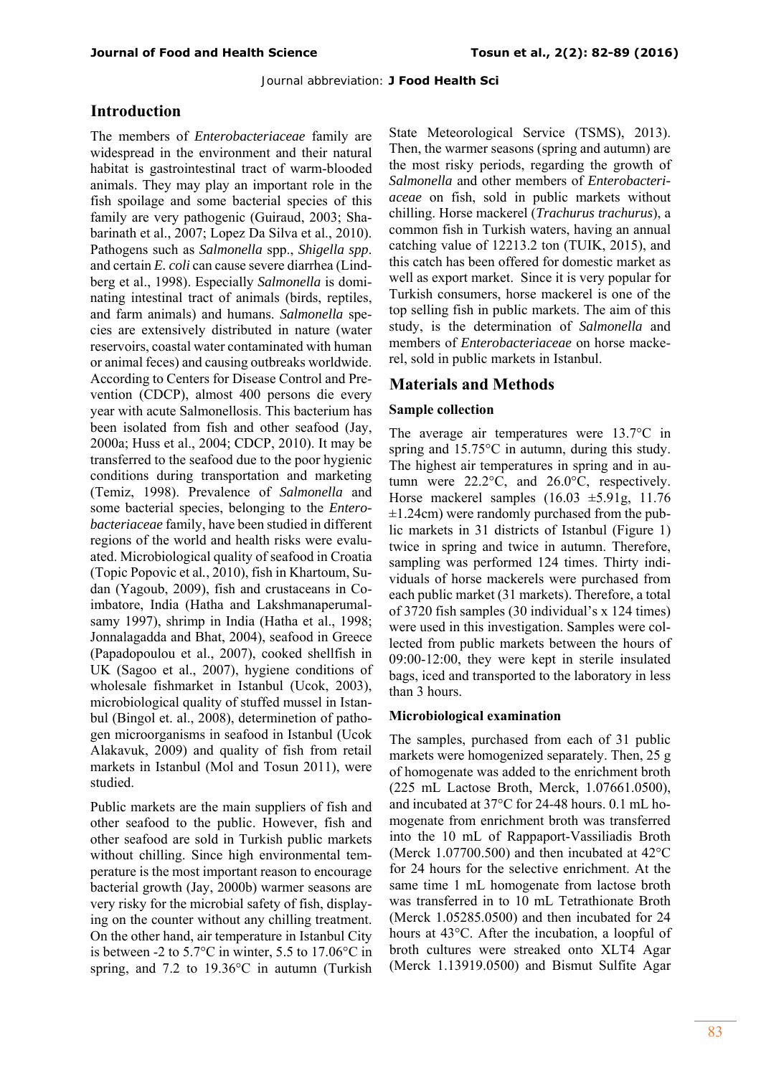## **Introduction**

The members of *Enterobacteriaceae* family are widespread in the environment and their natural habitat is gastrointestinal tract of warm-blooded animals. They may play an important role in the fish spoilage and some bacterial species of this family are very pathogenic (Guiraud, 2003; Shabarinath et al., 2007; Lopez Da Silva et al., 2010). Pathogens such as *Salmonella* spp., *Shigella spp*. and certain *E. coli* can cause severe diarrhea (Lindberg et al., 1998). Especially *Salmonella* is dominating intestinal tract of animals (birds, reptiles, and farm animals) and humans. *Salmonella* species are extensively distributed in nature (water reservoirs, coastal water contaminated with human or animal feces) and causing outbreaks worldwide. According to Centers for Disease Control and Prevention (CDCP), almost 400 persons die every year with acute Salmonellosis. This bacterium has been isolated from fish and other seafood (Jay, 2000a; Huss et al., 2004; CDCP, 2010). It may be transferred to the seafood due to the poor hygienic conditions during transportation and marketing (Temiz, 1998). Prevalence of *Salmonella* and some bacterial species, belonging to the *Enterobacteriaceae* family, have been studied in different regions of the world and health risks were evaluated. Microbiological quality of seafood in Croatia (Topic Popovic et al*.*, 2010), fish in Khartoum, Sudan (Yagoub, 2009), fish and crustaceans in Coimbatore, India (Hatha and Lakshmanaperumalsamy 1997), shrimp in India (Hatha et al., 1998; Jonnalagadda and Bhat, 2004), seafood in Greece (Papadopoulou et al., 2007), cooked shellfish in UK (Sagoo et al., 2007), hygiene conditions of wholesale fishmarket in Istanbul (Ucok, 2003), microbiological quality of stuffed mussel in Istanbul (Bingol et. al., 2008), determinetion of pathogen microorganisms in seafood in Istanbul (Ucok Alakavuk, 2009) and quality of fish from retail markets in Istanbul (Mol and Tosun 2011), were studied.

Public markets are the main suppliers of fish and other seafood to the public. However, fish and other seafood are sold in Turkish public markets without chilling. Since high environmental temperature is the most important reason to encourage bacterial growth (Jay, 2000b) warmer seasons are very risky for the microbial safety of fish, displaying on the counter without any chilling treatment. On the other hand, air temperature in Istanbul City is between -2 to 5.7°C in winter, 5.5 to 17.06°C in spring, and 7.2 to 19.36°C in autumn (Turkish

State Meteorological Service (TSMS), 2013). Then, the warmer seasons (spring and autumn) are the most risky periods, regarding the growth of *Salmonella* and other members of *Enterobacteriaceae* on fish, sold in public markets without chilling. Horse mackerel (*Trachurus trachurus*), a common fish in Turkish waters, having an annual catching value of 12213.2 ton (TUIK, 2015), and this catch has been offered for domestic market as well as export market. Since it is very popular for Turkish consumers, horse mackerel is one of the top selling fish in public markets. The aim of this study, is the determination of *Salmonella* and members of *Enterobacteriaceae* on horse mackerel, sold in public markets in Istanbul.

## **Materials and Methods**

#### **Sample collection**

The average air temperatures were 13.7°C in spring and 15.75°C in autumn, during this study. The highest air temperatures in spring and in autumn were 22.2°C, and 26.0°C, respectively. Horse mackerel samples (16.03 ±5.91g, 11.76  $\pm$ 1.24cm) were randomly purchased from the public markets in 31 districts of Istanbul (Figure 1) twice in spring and twice in autumn. Therefore, sampling was performed 124 times. Thirty individuals of horse mackerels were purchased from each public market (31 markets). Therefore, a total of 3720 fish samples (30 individual's x 124 times) were used in this investigation. Samples were collected from public markets between the hours of 09:00-12:00, they were kept in sterile insulated bags, iced and transported to the laboratory in less than 3 hours.

#### **Microbiological examination**

The samples, purchased from each of 31 public markets were homogenized separately. Then, 25 g of homogenate was added to the enrichment broth (225 mL Lactose Broth, Merck, 1.07661.0500), and incubated at 37°C for 24-48 hours. 0.1 mL homogenate from enrichment broth was transferred into the 10 mL of Rappaport-Vassiliadis Broth (Merck 1.07700.500) and then incubated at 42°C for 24 hours for the selective enrichment. At the same time 1 mL homogenate from lactose broth was transferred in to 10 mL Tetrathionate Broth (Merck 1.05285.0500) and then incubated for 24 hours at 43°C. After the incubation, a loopful of broth cultures were streaked onto XLT4 Agar (Merck 1.13919.0500) and Bismut Sulfite Agar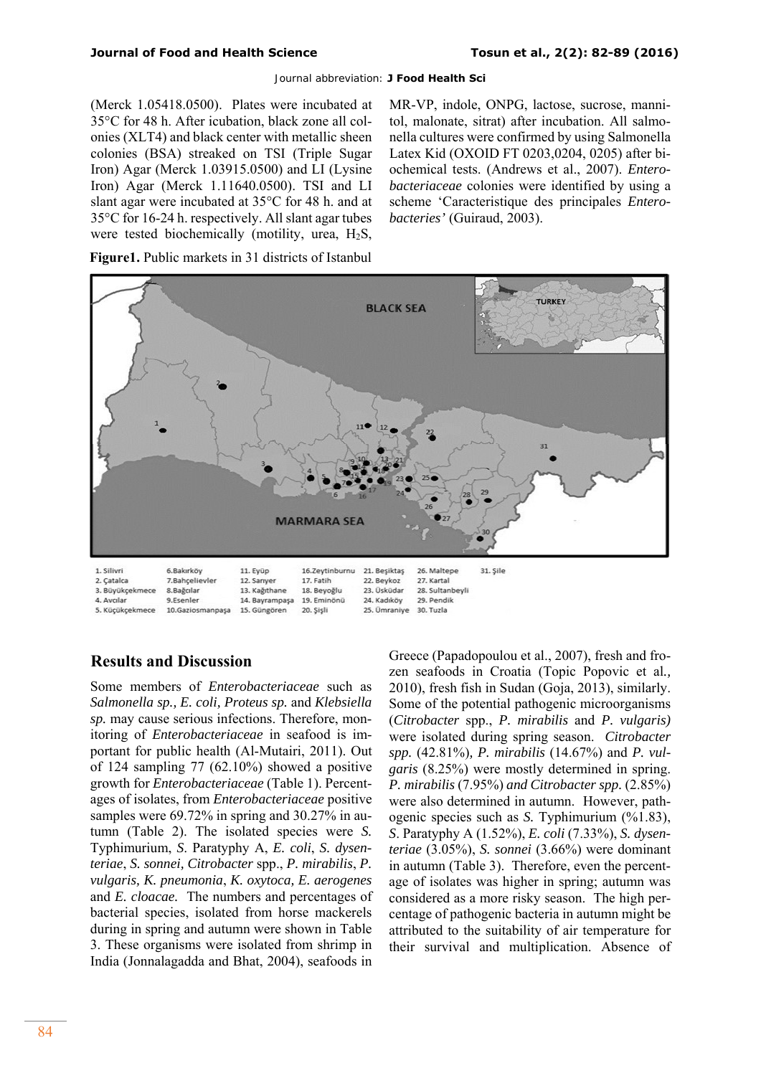(Merck 1.05418.0500). Plates were incubated at 35°C for 48 h. After icubation, black zone all colonies (XLT4) and black center with metallic sheen colonies (BSA) streaked on TSI (Triple Sugar Iron) Agar (Merck 1.03915.0500) and LI (Lysine Iron) Agar (Merck 1.11640.0500). TSI and LI slant agar were incubated at 35°C for 48 h. and at 35°C for 16-24 h. respectively. All slant agar tubes were tested biochemically (motility, urea, H2S, MR-VP, indole, ONPG, lactose, sucrose, mannitol, malonate, sitrat) after incubation. All salmonella cultures were confirmed by using Salmonella Latex Kid (OXOID FT 0203,0204, 0205) after biochemical tests. (Andrews et al., 2007). *Enterobacteriaceae* colonies were identified by using a scheme 'Caracteristique des principales *Enterobacteries'* (Guiraud, 2003).

**Figure1.** Public markets in 31 districts of Istanbul



# **Results and Discussion**

Some members of *Enterobacteriaceae* such as *Salmonella sp., E. coli, Proteus sp.* and *Klebsiella sp.* may cause serious infections. Therefore, monitoring of *Enterobacteriaceae* in seafood is important for public health (Al-Mutairi, 2011). Out of 124 sampling 77 (62.10%) showed a positive growth for *Enterobacteriaceae* (Table 1). Percentages of isolates, from *Enterobacteriaceae* positive samples were 69.72% in spring and 30.27% in autumn (Table 2). The isolated species were *S.*  Typhimurium, *S*. Paratyphy A, *E. coli*, *S. dysenteriae*, *S. sonnei, Citrobacter* spp., *P. mirabilis*, *P. vulgaris, K. pneumonia*, *K. oxytoca, E. aerogenes*  and *E. cloacae.* The numbers and percentages of bacterial species, isolated from horse mackerels during in spring and autumn were shown in Table 3. These organisms were isolated from shrimp in India (Jonnalagadda and Bhat, 2004), seafoods in

Greece (Papadopoulou et al., 2007), fresh and frozen seafoods in Croatia (Topic Popovic et al*.,* 2010), fresh fish in Sudan (Goja, 2013), similarly. Some of the potential pathogenic microorganisms (*Citrobacter* spp., *P. mirabilis* and *P. vulgaris)*  were isolated during spring season. *Citrobacter spp.* (42.81%)*, P. mirabilis* (14.67%) and *P. vulgaris* (8.25%) were mostly determined in spring. *P. mirabilis* (7.95%) *and Citrobacter spp.* (2.85%) were also determined in autumn. However, pathogenic species such as *S.* Typhimurium (%1.83), *S*. Paratyphy A (1.52%), *E. coli* (7.33%), *S. dysenteriae* (3.05%), *S. sonnei* (3.66%) were dominant in autumn (Table 3). Therefore, even the percentage of isolates was higher in spring; autumn was considered as a more risky season. The high percentage of pathogenic bacteria in autumn might be attributed to the suitability of air temperature for their survival and multiplication. Absence of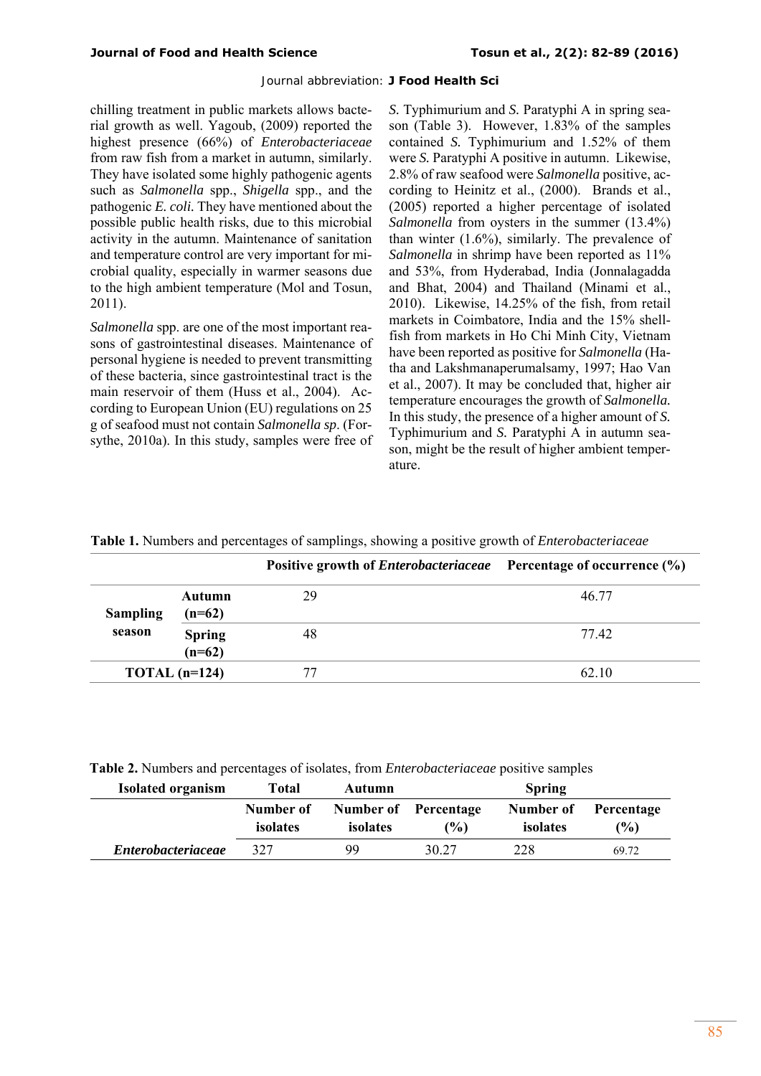chilling treatment in public markets allows bacterial growth as well. Yagoub, (2009) reported the highest presence (66%) of *Enterobacteriaceae* from raw fish from a market in autumn, similarly. They have isolated some highly pathogenic agents such as *Salmonella* spp., *Shigella* spp., and the pathogenic *E. coli.* They have mentioned about the possible public health risks, due to this microbial activity in the autumn. Maintenance of sanitation and temperature control are very important for microbial quality, especially in warmer seasons due to the high ambient temperature (Mol and Tosun, 2011).

*Salmonella* spp. are one of the most important reasons of gastrointestinal diseases. Maintenance of personal hygiene is needed to prevent transmitting of these bacteria, since gastrointestinal tract is the main reservoir of them (Huss et al., 2004). According to European Union (EU) regulations on 25 g of seafood must not contain *Salmonella sp*. (Forsythe, 2010a). In this study, samples were free of *S.* Typhimurium and *S.* Paratyphi A in spring season (Table 3). However, 1.83% of the samples contained *S.* Typhimurium and 1.52% of them were *S.* Paratyphi A positive in autumn. Likewise, 2.8% of raw seafood were *Salmonella* positive, according to Heinitz et al., (2000). Brands et al., (2005) reported a higher percentage of isolated *Salmonella* from oysters in the summer (13.4%) than winter (1.6%), similarly. The prevalence of *Salmonella* in shrimp have been reported as 11% and 53%, from Hyderabad, India (Jonnalagadda and Bhat, 2004) and Thailand (Minami et al., 2010). Likewise, 14.25% of the fish, from retail markets in Coimbatore, India and the 15% shellfish from markets in Ho Chi Minh City, Vietnam have been reported as positive for *Salmonella* (Hatha and Lakshmanaperumalsamy, 1997; Hao Van et al., 2007). It may be concluded that, higher air temperature encourages the growth of *Salmonella.*  In this study, the presence of a higher amount of *S.*  Typhimurium and *S.* Paratyphi A in autumn season, might be the result of higher ambient temperature.

|  |  | Table 1. Numbers and percentages of samplings, showing a positive growth of <i>Enterobacteriaceae</i> |  |  |  |  |
|--|--|-------------------------------------------------------------------------------------------------------|--|--|--|--|
|  |  |                                                                                                       |  |  |  |  |

|                 |                           | Positive growth of <i>Enterobacteriaceae</i> Percentage of occurrence (%) |       |
|-----------------|---------------------------|---------------------------------------------------------------------------|-------|
| <b>Sampling</b> | Autumn<br>$(n=62)$        | 29                                                                        | 46.77 |
| season          | <b>Spring</b><br>$(n=62)$ | 48                                                                        | 77.42 |
| TOTAL $(n=124)$ |                           | 77                                                                        | 62.10 |

**Table 2.** Numbers and percentages of isolates, from *Enterobacteriaceae* positive samples

| <b>Isolated organism</b>  | Total                 | <b>Autumn</b>         |                      | <b>Spring</b>         |                   |
|---------------------------|-----------------------|-----------------------|----------------------|-----------------------|-------------------|
|                           | Number of<br>isolates | Number of<br>isolates | Percentage<br>$($ %) | Number of<br>isolates | Percentage<br>(%) |
| <b>Enterobacteriaceae</b> | 327                   | 99                    | 30.27                | 228                   | 69.72             |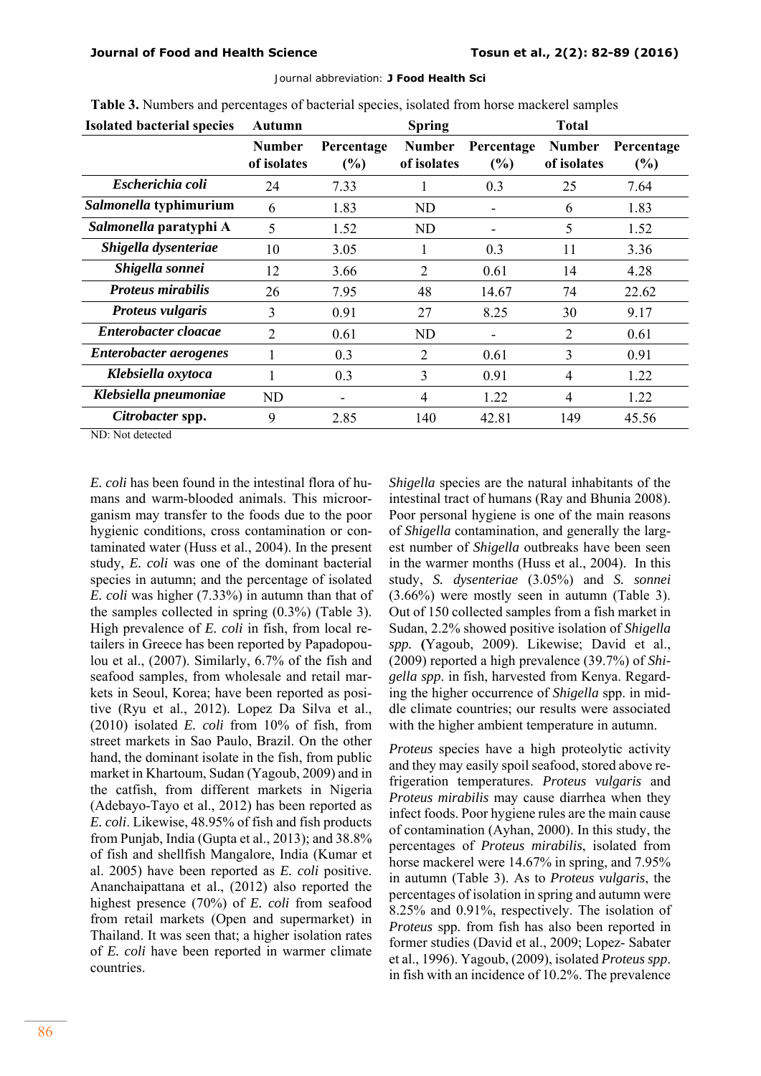| <b>Isolated bacterial species</b> | Autumn                       | <b>Spring</b>     |                              |                      | <b>Total</b>          |                   |  |
|-----------------------------------|------------------------------|-------------------|------------------------------|----------------------|-----------------------|-------------------|--|
|                                   | <b>Number</b><br>of isolates | Percentage<br>(%) | <b>Number</b><br>of isolates | Percentage<br>$(\%)$ | Number<br>of isolates | Percentage<br>(%) |  |
| Escherichia coli                  | 24                           | 7.33              |                              | 0.3                  | 25                    | 7.64              |  |
| Salmonella typhimurium            | 6                            | 1.83              | ND                           |                      | 6                     | 1.83              |  |
| Salmonella paratyphi A            | 5                            | 1.52              | ND                           |                      | 5                     | 1.52              |  |
| Shigella dysenteriae              | 10                           | 3.05              | 1                            | 0.3                  | 11                    | 3.36              |  |
| Shigella sonnei                   | 12                           | 3.66              | 2                            | 0.61                 | 14                    | 4.28              |  |
| <b>Proteus mirabilis</b>          | 26                           | 7.95              | 48                           | 14.67                | 74                    | 22.62             |  |
| Proteus vulgaris                  | 3                            | 0.91              | 27                           | 8.25                 | 30                    | 9.17              |  |
| Enterobacter cloacae              | $\overline{2}$               | 0.61              | ND                           |                      | $\overline{2}$        | 0.61              |  |
| Enterobacter aerogenes            |                              | 0.3               | 2                            | 0.61                 | 3                     | 0.91              |  |
| Klebsiella oxytoca                | 1                            | 0.3               | 3                            | 0.91                 | 4                     | 1.22              |  |
| Klebsiella pneumoniae             | ND.                          |                   | 4                            | 1.22                 | 4                     | 1.22              |  |
| Citrobacter spp.                  | 9                            | 2.85              | 140                          | 42.81                | 149                   | 45.56             |  |

Journal abbreviation: **J Food Health Sci** 

**Table 3.** Numbers and percentages of bacterial species, isolated from horse mackerel samples

ND: Not detected

*E. coli* has been found in the intestinal flora of humans and warm-blooded animals. This microorganism may transfer to the foods due to the poor hygienic conditions, cross contamination or contaminated water (Huss et al., 2004). In the present study, *E. coli* was one of the dominant bacterial species in autumn; and the percentage of isolated *E. coli* was higher (7.33%) in autumn than that of the samples collected in spring (0.3%) (Table 3). High prevalence of *E. coli* in fish, from local retailers in Greece has been reported by Papadopoulou et al., (2007). Similarly, 6.7% of the fish and seafood samples, from wholesale and retail markets in Seoul, Korea; have been reported as positive (Ryu et al., 2012). Lopez Da Silva et al., (2010) isolated *E. coli* from 10% of fish, from street markets in Sao Paulo, Brazil. On the other hand, the dominant isolate in the fish, from public market in Khartoum, Sudan (Yagoub, 2009) and in the catfish, from different markets in Nigeria (Adebayo-Tayo et al., 2012) has been reported as *E. coli*. Likewise, 48.95% of fish and fish products from Punjab, India (Gupta et al., 2013); and 38.8% of fish and shellfish Mangalore, India (Kumar et al. 2005) have been reported as *E. coli* positive. Ananchaipattana et al., (2012) also reported the highest presence (70%) of *E. coli* from seafood from retail markets (Open and supermarket) in Thailand. It was seen that; a higher isolation rates of *E. coli* have been reported in warmer climate countries.

*Shigella* species are the natural inhabitants of the intestinal tract of humans (Ray and Bhunia 2008). Poor personal hygiene is one of the main reasons of *Shigella* contamination, and generally the largest number of *Shigella* outbreaks have been seen in the warmer months (Huss et al., 2004). In this study, *S. dysenteriae* (3.05%) and *S. sonnei* (3.66%) were mostly seen in autumn (Table 3). Out of 150 collected samples from a fish market in Sudan, 2.2% showed positive isolation of *Shigella spp.* **(**Yagoub, 2009). Likewise; David et al., (2009) reported a high prevalence (39.7%) of *Shigella spp*. in fish, harvested from Kenya. Regarding the higher occurrence of *Shigella* spp. in middle climate countries; our results were associated with the higher ambient temperature in autumn.

*Proteus* species have a high proteolytic activity and they may easily spoil seafood, stored above refrigeration temperatures. *Proteus vulgaris* and *Proteus mirabilis* may cause diarrhea when they infect foods. Poor hygiene rules are the main cause of contamination (Ayhan, 2000). In this study, the percentages of *Proteus mirabilis*, isolated from horse mackerel were 14.67% in spring, and 7.95% in autumn (Table 3). As to *Proteus vulgaris*, the percentages of isolation in spring and autumn were 8.25% and 0.91%, respectively. The isolation of *Proteus* spp*.* from fish has also been reported in former studies (David et al., 2009; Lopez- Sabater et al., 1996). Yagoub, (2009), isolated *Proteus spp*. in fish with an incidence of 10.2%. The prevalence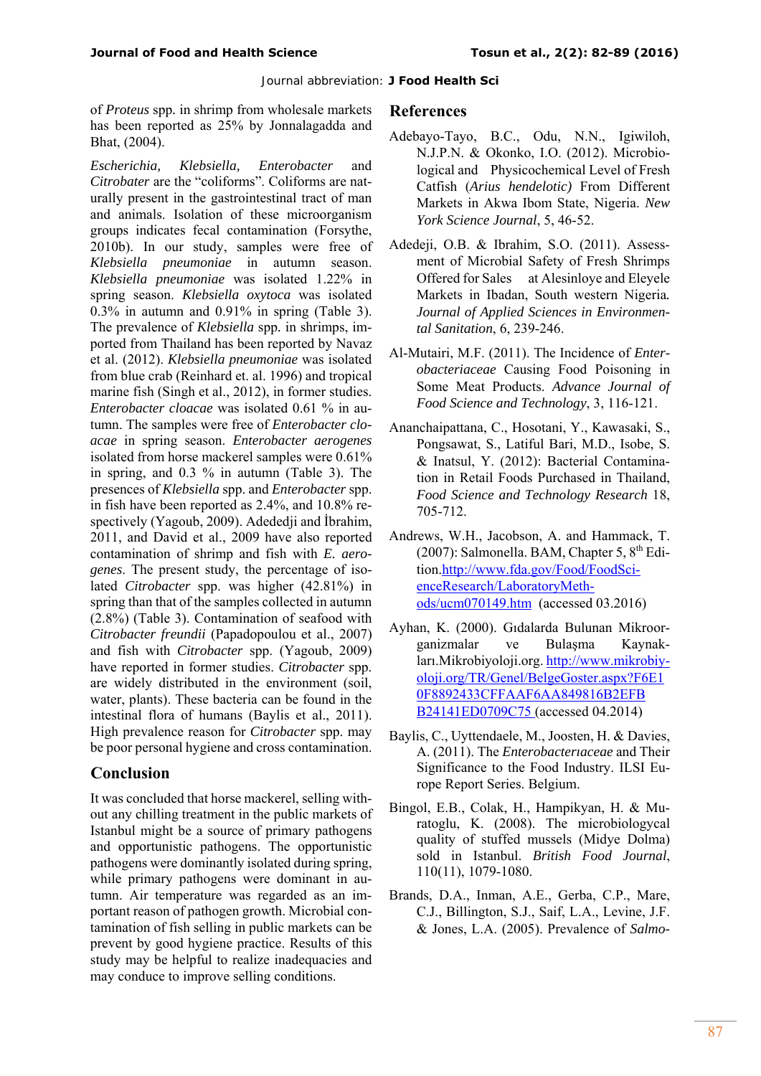of *Proteus* spp*.* in shrimp from wholesale markets has been reported as 25% by Jonnalagadda and Bhat, (2004).

*Escherichia, Klebsiella, Enterobacter* and *Citrobater* are the "coliforms". Coliforms are naturally present in the gastrointestinal tract of man and animals. Isolation of these microorganism groups indicates fecal contamination (Forsythe, 2010b). In our study, samples were free of *Klebsiella pneumoniae* in autumn season. *Klebsiella pneumoniae* was isolated 1.22% in spring season. *Klebsiella oxytoca* was isolated 0.3% in autumn and 0.91% in spring (Table 3). The prevalence of *Klebsiella* spp*.* in shrimps, imported from Thailand has been reported by Navaz et al. (2012). *Klebsiella pneumoniae* was isolated from blue crab (Reinhard et. al. 1996) and tropical marine fish (Singh et al., 2012), in former studies. *Enterobacter cloacae* was isolated 0.61 % in autumn. The samples were free of *Enterobacter cloacae* in spring season. *Enterobacter aerogenes*  isolated from horse mackerel samples were 0.61% in spring, and 0.3 % in autumn (Table 3). The presences of *Klebsiella* spp. and *Enterobacter* spp. in fish have been reported as 2.4%, and 10.8% respectively (Yagoub, 2009). Adededji and İbrahim, 2011, and David et al., 2009 have also reported contamination of shrimp and fish with *E. aerogenes*. The present study, the percentage of isolated *Citrobacter* spp. was higher (42.81%) in spring than that of the samples collected in autumn (2.8%) (Table 3). Contamination of seafood with *Citrobacter freundii* (Papadopoulou et al., 2007) and fish with *Citrobacter* spp. (Yagoub, 2009) have reported in former studies. *Citrobacter* spp. are widely distributed in the environment (soil, water, plants). These bacteria can be found in the intestinal flora of humans (Baylis et al., 2011). High prevalence reason for *Citrobacter* spp. may be poor personal hygiene and cross contamination.

## **Conclusion**

It was concluded that horse mackerel, selling without any chilling treatment in the public markets of Istanbul might be a source of primary pathogens and opportunistic pathogens. The opportunistic pathogens were dominantly isolated during spring, while primary pathogens were dominant in autumn. Air temperature was regarded as an important reason of pathogen growth. Microbial contamination of fish selling in public markets can be prevent by good hygiene practice. Results of this study may be helpful to realize inadequacies and may conduce to improve selling conditions.

### **References**

- Adebayo-Tayo, B.C., Odu, N.N., Igiwiloh, N.J.P.N. & Okonko, I.O. (2012). Microbiological and Physicochemical Level of Fresh Catfish (*Arius hendelotic)* From Different Markets in Akwa Ibom State, Nigeria. *New York Science Journal*, 5, 46-52.
- Adedeji, O.B. & Ibrahim, S.O. (2011). Assessment of Microbial Safety of Fresh Shrimps Offered for Sales at Alesinloye and Eleyele Markets in Ibadan, South western Nigeria*. Journal of Applied Sciences in Environmental Sanitation*, 6, 239-246.
- Al-Mutairi, M.F. (2011). The Incidence of *Enterobacteriaceae* Causing Food Poisoning in Some Meat Products. *Advance Journal of Food Science and Technology*, 3, 116-121.
- Ananchaipattana, C., Hosotani, Y., Kawasaki, S., Pongsawat, S., Latiful Bari, M.D., Isobe, S. & Inatsul, Y. (2012): Bacterial Contamination in Retail Foods Purchased in Thailand, *Food Science and Technology Research* 18, 705-712.
- Andrews, W.H., Jacobson, A. and Hammack, T. (2007): Salmonella. BAM, Chapter 5,  $8<sup>th</sup>$  Edition.http://www.fda.gov/Food/FoodScienceResearch/LaboratoryMethods/ucm070149.htm (accessed 03.2016)
- Ayhan, K. (2000). Gıdalarda Bulunan Mikroorganizmalar ve Bulaşma Kaynakları.Mikrobiyoloji.org. http://www.mikrobiyoloji.org/TR/Genel/BelgeGoster.aspx?F6E1 0F8892433CFFAAF6AA849816B2EFB B24141ED0709C75 (accessed 04.2014)
- Baylis, C., Uyttendaele, M., Joosten, H. & Davies, A. (2011). The *Enterobacterıaceae* and Their Significance to the Food Industry. ILSI Europe Report Series. Belgium.
- Bingol, E.B., Colak, H., Hampikyan, H. & Muratoglu, K. (2008). The microbiologycal quality of stuffed mussels (Midye Dolma) sold in Istanbul. *British Food Journal*, 110(11), 1079-1080.
- Brands, D.A., Inman, A.E., Gerba, C.P., Mare, C.J., Billington, S.J., Saif, L.A., Levine, J.F. & Jones, L.A. (2005). Prevalence of *Salmo-*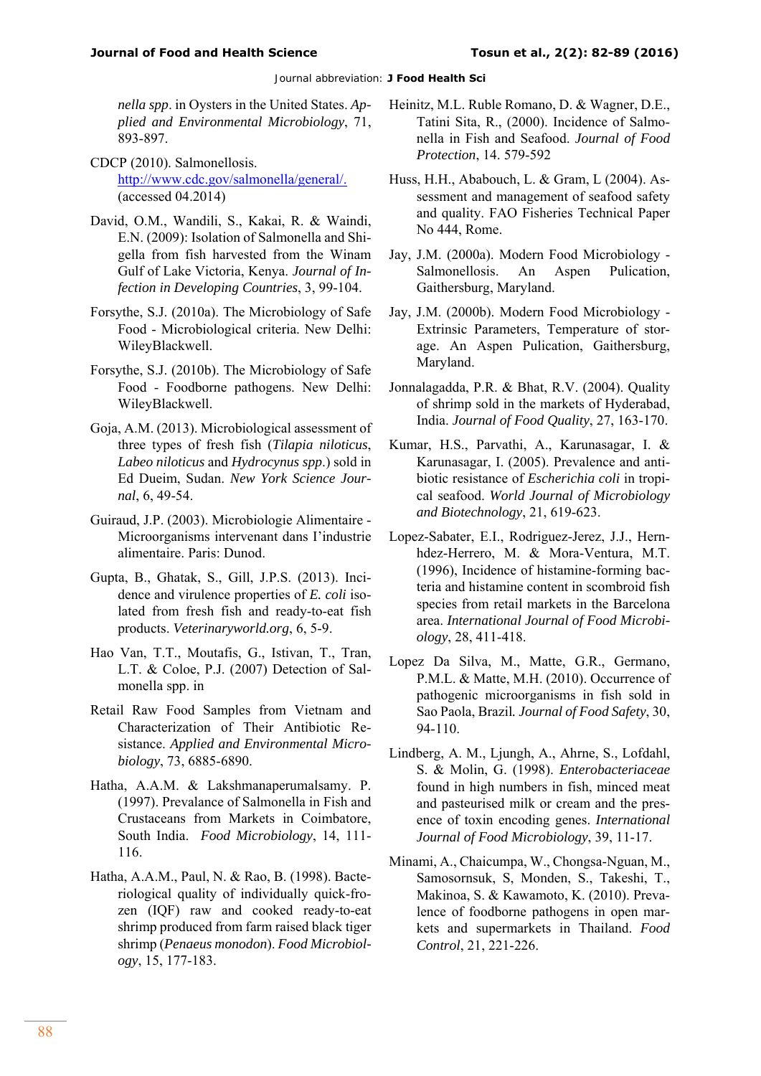*nella spp*. in Oysters in the United States. *Applied and Environmental Microbiology*, 71, 893-897.

- CDCP (2010). Salmonellosis. http://www.cdc.gov/salmonella/general/. (accessed 04.2014)
- David, O.M., Wandili, S., Kakai, R. & Waindi, E.N. (2009): Isolation of Salmonella and Shigella from fish harvested from the Winam Gulf of Lake Victoria, Kenya. *Journal of Infection in Developing Countries*, 3, 99-104.
- Forsythe, S.J. (2010a). The Microbiology of Safe Food - Microbiological criteria. New Delhi: WileyBlackwell.
- Forsythe, S.J. (2010b). The Microbiology of Safe Food - Foodborne pathogens. New Delhi: WileyBlackwell.
- Goja, A.M. (2013). Microbiological assessment of three types of fresh fish (*Tilapia niloticus*, *Labeo niloticus* and *Hydrocynus spp*.) sold in Ed Dueim, Sudan. *New York Science Journal*, 6, 49-54.
- Guiraud, J.P. (2003). Microbiologie Alimentaire Microorganisms intervenant dans I'industrie alimentaire. Paris: Dunod.
- Gupta, B., Ghatak, S., Gill, J.P.S. (2013). Incidence and virulence properties of *E. coli* isolated from fresh fish and ready-to-eat fish products. *Veterinaryworld.org*, 6, 5-9.
- Hao Van, T.T., Moutafis, G., Istivan, T., Tran, L.T. & Coloe, P.J. (2007) Detection of Salmonella spp. in
- Retail Raw Food Samples from Vietnam and Characterization of Their Antibiotic Resistance. *Applied and Environmental Microbiology*, 73, 6885-6890.
- Hatha, A.A.M. & Lakshmanaperumalsamy. P. (1997). Prevalance of Salmonella in Fish and Crustaceans from Markets in Coimbatore, South India. *Food Microbiology*, 14, 111- 116.
- Hatha, A.A.M., Paul, N. & Rao, B. (1998). Bacteriological quality of individually quick-frozen (IQF) raw and cooked ready-to-eat shrimp produced from farm raised black tiger shrimp (*Penaeus monodon*). *Food Microbiology*, 15, 177-183.
- Heinitz, M.L. Ruble Romano, D. & Wagner, D.E., Tatini Sita, R., (2000). Incidence of Salmonella in Fish and Seafood. *Journal of Food Protection*, 14. 579-592
- Huss, H.H., Ababouch, L. & Gram, L (2004). Assessment and management of seafood safety and quality. FAO Fisheries Technical Paper No 444, Rome.
- Jay, J.M. (2000a). Modern Food Microbiology Salmonellosis. An Aspen Pulication, Gaithersburg, Maryland.
- Jay, J.M. (2000b). Modern Food Microbiology Extrinsic Parameters, Temperature of storage. An Aspen Pulication, Gaithersburg, Maryland.
- Jonnalagadda, P.R. & Bhat, R.V. (2004). Quality of shrimp sold in the markets of Hyderabad, India. *Journal of Food Quality*, 27, 163-170.
- Kumar, H.S., Parvathi, A., Karunasagar, I. & Karunasagar, I. (2005). Prevalence and antibiotic resistance of *Escherichia coli* in tropical seafood. *World Journal of Microbiology and Biotechnology*, 21, 619-623.
- Lopez-Sabater, E.I., Rodriguez-Jerez, J.J., Hernhdez-Herrero, M. & Mora-Ventura, M.T. (1996), Incidence of histamine-forming bacteria and histamine content in scombroid fish species from retail markets in the Barcelona area. *International Journal of Food Microbiology*, 28, 411-418.
- Lopez Da Silva, M., Matte, G.R., Germano, P.M.L. & Matte, M.H. (2010). Occurrence of pathogenic microorganisms in fish sold in Sao Paola, Brazil*. Journal of Food Safety*, 30, 94-110.
- Lindberg, A. M., Ljungh, A., Ahrne, S., Lofdahl, S. & Molin, G. (1998). *Enterobacteriaceae*  found in high numbers in fish, minced meat and pasteurised milk or cream and the presence of toxin encoding genes. *International Journal of Food Microbiology*, 39, 11-17.
- Minami, A., Chaicumpa, W., Chongsa-Nguan, M., Samosornsuk, S, Monden, S., Takeshi, T., Makinoa, S. & Kawamoto, K. (2010). Prevalence of foodborne pathogens in open markets and supermarkets in Thailand. *Food Control*, 21, 221-226.